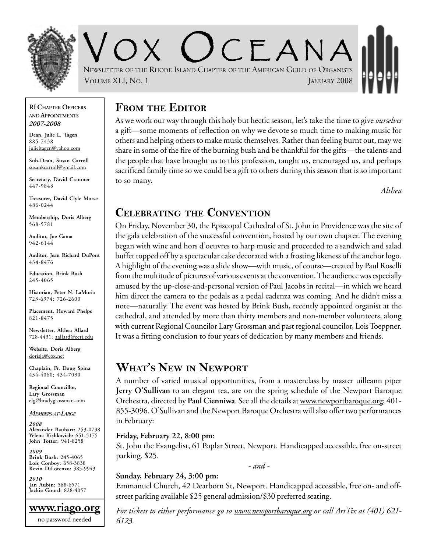

 $C$   $F$   $A$   $N$   $A$ NEWSLETTER OF THE RHODE ISLAND CHAPTER OF THE AMERICAN GUILD OF ORGANISTS VOLUME XLI, NO. 1 JANUARY 2008

#### **RI CHAPTER OFFICERS AND APPOINTMENTS** *2007-2008*

**Dean, Julie L. Tagen** 885-7438 julieltagen@yahoo.com

**Sub-Dean, Susan Carroll** susankcarroll@gmail.com

**Secretary, David Cranmer** 447-9848

**Treasurer, David Clyle Morse** 486-0244

**Membership, Doris Alberg** 568-5781

**Auditor, Joe Gama** 942-6144

**Auditor, Jean Richard DuPont** 434-8476

**Education, Brink Bush** 245-4065

**Historian, Peter N. LaMoria** 723-6974; 726-2600

**Placement, Howard Phelps** 821-8475

**Newsletter, Althea Allard** 728-4431; aallard@ccri.edu

**Website**, **Doris Alberg** dorisja@cox.net

**Chaplain, Fr. Doug Spina** 434-4060; 434-7030

**Regional Councillor, Lary Grossman** elg@bradygrossman.com

*MEMBERS-AT-LARGE*

*2008* **Alexander Bauhart:** 253-0738 **Yelena Kishkovich:** 651-5175 **John Totter:** 941-8258

*2009* **Brink Bush:** 245-4065 **Lois Conboy:** 658-3838 **Kevin DiLorenzo:** 385-9943

*2010* **Jan Aubin:** 568-6571 **Jackie Gourd:** 828-4057

**www.riago.org** no password needed

### **FROM THE EDITOR**

As we work our way through this holy but hectic season, let's take the time to give *ourselves* a gift—some moments of reflection on why we devote so much time to making music for others and helping others to make music themselves. Rather than feeling burnt out, may we share in some of the fire of the burning bush and be thankful for the gifts—the talents and the people that have brought us to this profession, taught us, encouraged us, and perhaps sacrificed family time so we could be a gift to others during this season that is so important to so many.

*Althea*

### **CELEBRATING THE CONVENTION**

On Friday, November 30, the Episcopal Cathedral of St. John in Providence was the site of the gala celebration of the successful convention, hosted by our own chapter. The evening began with wine and hors d'oeuvres to harp music and proceeded to a sandwich and salad buffet topped off by a spectacular cake decorated with a frosting likeness of the anchor logo. A highlight of the evening was a slide show—with music, of course—created by Paul Roselli from the multitude of pictures of various events at the convention. The audience was especially amused by the up-close-and-personal version of Paul Jacobs in recital—in which we heard him direct the camera to the pedals as a pedal cadenza was coming. And he didn't miss a note—naturally. The event was hosted by Brink Bush, recently appointed organist at the cathedral, and attended by more than thirty members and non-member volunteers, along with current Regional Councilor Lary Grossman and past regional councilor, Lois Toeppner. It was a fitting conclusion to four years of dedication by many members and friends.

### **WHAT'S NEW IN NEWPORT**

A number of varied musical opportunities, from a masterclass by master uilleann piper **Jerry O'Sullivan** to an elegant tea, are on the spring schedule of the Newport Baroque Orchestra, directed by **Paul Cienniwa**. See all the details at www.newportbaroque.org; 401- 855-3096. O'Sullivan and the Newport Baroque Orchestra will also offer two performances in February:

#### **Friday, February 22, 8:00 pm:**

St. John the Evangelist, 61 Poplar Street, Newport. Handicapped accessible, free on-street parking. \$25.

*- and -*

#### **Sunday, February 24, 3:00 pm:**

Emmanuel Church, 42 Dearborn St, Newport. Handicapped accessible, free on- and offstreet parking available \$25 general admission/\$30 preferred seating.

*For tickets to either performance go to www.newportbaroque.org or call ArtTix at (401) 621- 6123.*